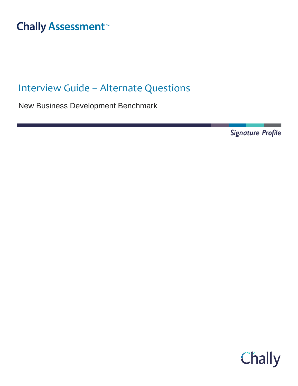#### Interview Guide – Alternate <sup>-</sup>hall

# Interview Guide – Alternate Questions

New Business Development Benchmark

**Signature Profile** 

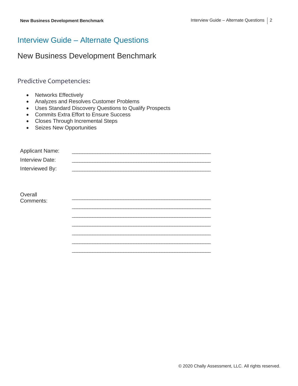## Interview Guide – Alternate Questions

#### New Business Development Benchmark

#### Predictive Competencies:

- Networks Effectively
- Analyzes and Resolves Customer Problems
- Uses Standard Discovery Questions to Qualify Prospects
- Commits Extra Effort to Ensure Success
- Closes Through Incremental Steps
- Seizes New Opportunities

| <b>Applicant Name:</b> |  |
|------------------------|--|
| Interview Date:        |  |
| Interviewed By:        |  |
|                        |  |
|                        |  |
| Overall                |  |
| Comments:              |  |
|                        |  |
|                        |  |
|                        |  |
|                        |  |
|                        |  |
|                        |  |
|                        |  |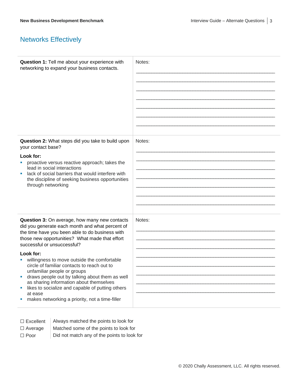# Networks Effectively

| Question 1: Tell me about your experience with<br>networking to expand your business contacts.                                                                                                                                                                                                                                                                                                                                                                                                                                                                                                     | Notes: |
|----------------------------------------------------------------------------------------------------------------------------------------------------------------------------------------------------------------------------------------------------------------------------------------------------------------------------------------------------------------------------------------------------------------------------------------------------------------------------------------------------------------------------------------------------------------------------------------------------|--------|
| Question 2: What steps did you take to build upon<br>your contact base?<br>Look for:<br>proactive versus reactive approach; takes the<br>lead in social interactions<br>lack of social barriers that would interfere with<br>the discipline of seeking business opportunities<br>through networking                                                                                                                                                                                                                                                                                                | Notes: |
| Question 3: On average, how many new contacts<br>did you generate each month and what percent of<br>the time have you been able to do business with<br>those new opportunities? What made that effort<br>successful or unsuccessful?<br>Look for:<br>willingness to move outside the comfortable<br>circle of familiar contacts to reach out to<br>unfamiliar people or groups<br>draws people out by talking about them as well<br>as sharing information about themselves<br>likes to socialize and capable of putting others<br>×,<br>at ease<br>makes networking a priority, not a time-filler | Notes: |

| $\Box$ Excellent | Always matched the points to look for       |
|------------------|---------------------------------------------|
| $\Box$ Average   | Matched some of the points to look for      |
| $\Box$ Poor      | Did not match any of the points to look for |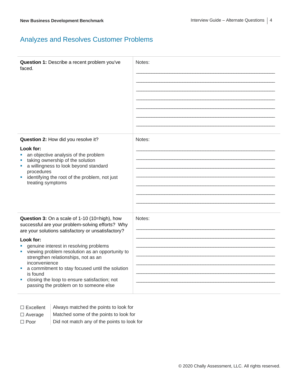### Analyzes and Resolves Customer Problems

| Question 1: Describe a recent problem you've<br>faced.                                                                                                                                                                                                                                                                                                                                                                                                                                       | Notes: |
|----------------------------------------------------------------------------------------------------------------------------------------------------------------------------------------------------------------------------------------------------------------------------------------------------------------------------------------------------------------------------------------------------------------------------------------------------------------------------------------------|--------|
| Question 2: How did you resolve it?<br>Look for:<br>an objective analysis of the problem<br>taking ownership of the solution<br>a willingness to look beyond standard<br>procedures<br>identifying the root of the problem, not just<br>treating symptoms                                                                                                                                                                                                                                    | Notes: |
| Question 3: On a scale of 1-10 (10=high), how<br>successful are your problem-solving efforts? Why<br>are your solutions satisfactory or unsatisfactory?<br>Look for:<br>genuine interest in resolving problems<br>viewing problem resolution as an opportunity to<br>strengthen relationships, not as an<br>inconvenience<br>a commitment to stay focused until the solution<br>ш<br>is found<br>closing the loop to ensure satisfaction; not<br>ш<br>passing the problem on to someone else | Notes: |

| $\Box$ Excellent | Always matched the points to look for |  |
|------------------|---------------------------------------|--|
|                  |                                       |  |

- $\Box$  Average  $\parallel$  Matched some of the points to look for
- $\Box$  Poor  $\Box$  Did not match any of the points to look for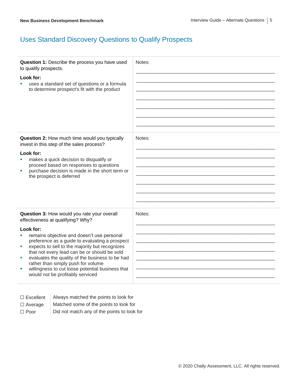### Uses Standard Discovery Questions to Qualify Prospects

| Question 1: Describe the process you have used<br>to qualify prospects.<br>Look for:<br>uses a standard set of questions or a formula<br>to determine prospect's fit with the product                                                                                                                                                                                                                                                                                                       | Notes: |
|---------------------------------------------------------------------------------------------------------------------------------------------------------------------------------------------------------------------------------------------------------------------------------------------------------------------------------------------------------------------------------------------------------------------------------------------------------------------------------------------|--------|
| Question 2: How much time would you typically<br>invest in this step of the sales process?<br>Look for:<br>makes a quick decision to disqualify or<br>proceed based on responses to questions<br>purchase decision is made in the short term or<br>the prospect is deferred                                                                                                                                                                                                                 | Notes: |
| Question 3: How would you rate your overall<br>effectiveness at qualifying? Why?<br>Look for:<br>remains objective and doesn't use personal<br>preference as a guide to evaluating a prospect<br>expects to sell to the majority but recognizes<br>×<br>that not every lead can be or should be sold<br>evaluates the quality of the business to be had<br>I.<br>rather than simply push for volume<br>willingness to cut loose potential business that<br>would not be profitably serviced | Notes: |

| $\Box$ Excellent | Always matched the points to look for |  |
|------------------|---------------------------------------|--|
|------------------|---------------------------------------|--|

- $\Box$  Average  $\parallel$  Matched some of the points to look for
- $\Box$  Poor  $\Box$  Did not match any of the points to look for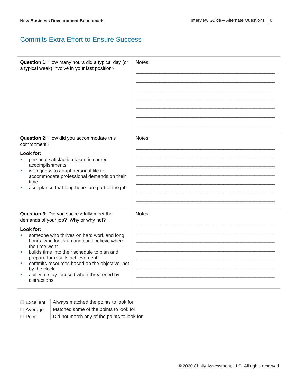#### Commits Extra Effort to Ensure Success

| Question 1: How many hours did a typical day (or<br>a typical week) involve in your last position?                                                                                                                                                                                                                                                                                                                                | Notes: |
|-----------------------------------------------------------------------------------------------------------------------------------------------------------------------------------------------------------------------------------------------------------------------------------------------------------------------------------------------------------------------------------------------------------------------------------|--------|
| Question 2: How did you accommodate this<br>commitment?<br>Look for:<br>personal satisfaction taken in career<br>accomplishments<br>willingness to adapt personal life to<br>ш<br>accommodate professional demands on their<br>time<br>acceptance that long hours are part of the job                                                                                                                                             | Notes: |
| Question 3: Did you successfully meet the<br>demands of your job? Why or why not?<br>Look for:<br>someone who thrives on hard work and long<br>٠<br>hours; who looks up and can't believe where<br>the time went<br>builds time into their schedule to plan and<br>prepare for results achievement<br>commits resources based on the objective, not<br>by the clock<br>ability to stay focused when threatened by<br>distractions | Notes: |

- ☐ Excellent Always matched the points to look for  $\Box$  Average  $\parallel$  Matched some of the points to look for
- 
- $\Box$  Poor  $\Box$  Did not match any of the points to look for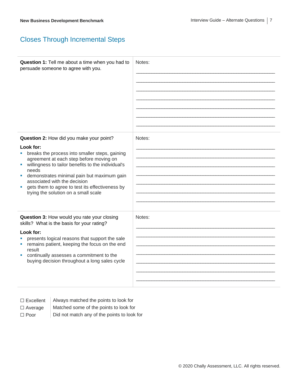### Closes Through Incremental Steps

| Notes: |
|--------|
| Notes: |
|        |
| Notes: |
|        |
|        |
|        |

| $\Box$ Excellent |  |
|------------------|--|
|------------------|--|

Always matched the points to look for

- ☐ Average Matched some of the points to look for
- □ Poor **Did not match any of the points to look for**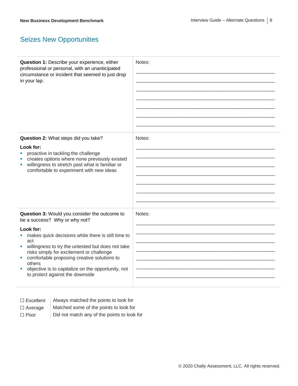# Seizes New Opportunities

| Question 1: Describe your experience, either<br>professional or personal, with an unanticipated<br>circumstance or incident that seemed to just drop<br>in your lap.                                                                                                                                                                      | Notes: |
|-------------------------------------------------------------------------------------------------------------------------------------------------------------------------------------------------------------------------------------------------------------------------------------------------------------------------------------------|--------|
| Question 2: What steps did you take?                                                                                                                                                                                                                                                                                                      | Notes: |
| Look for:<br>proactive in tackling the challenge<br>creates options where none previously existed<br>willingness to stretch past what is familiar or<br>ш<br>comfortable to experiment with new ideas                                                                                                                                     |        |
| Question 3: Would you consider the outcome to<br>be a success? Why or why not?                                                                                                                                                                                                                                                            | Notes: |
| Look for:<br>makes quick decisions while there is still time to<br>act<br>willingness to try the untested but does not take<br>×.<br>risks simply for excitement or challenge<br>comfortable proposing creative solutions to<br>ш<br>others<br>objective is to capitalize on the opportunity, not<br>ш<br>to protect against the downside |        |

| $\Box$ Excellent | Always matched the points to look for  |
|------------------|----------------------------------------|
| $\Box$ Average   | Matched some of the points to look for |

□ Poor **Did not match any of the points to look for**